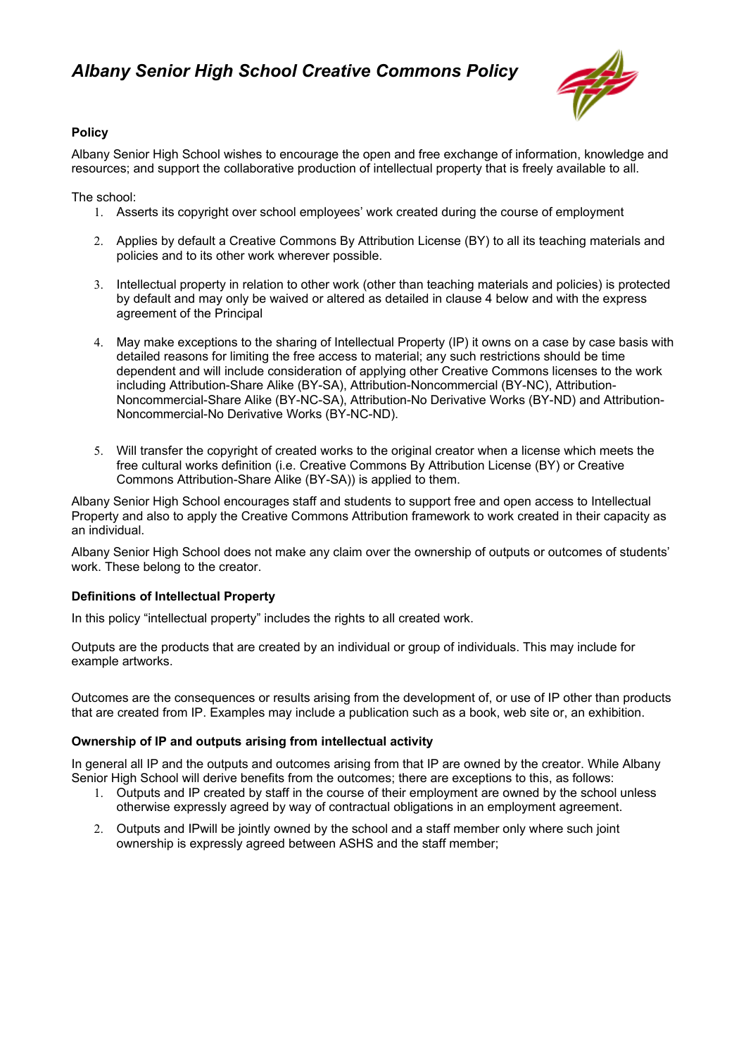# *Albany Senior High School Creative Commons Policy*



### **Policy**

Albany Senior High School wishes to encourage the open and free exchange of information, knowledge and resources; and support the collaborative production of intellectual property that is freely available to all.

The school:

- 1. Asserts its copyright over school employees' work created during the course of employment
- 2. Applies by default a Creative Commons By Attribution License (BY) to all its teaching materials and policies and to its other work wherever possible.
- 3. Intellectual property in relation to other work (other than teaching materials and policies) is protected by default and may only be waived or altered as detailed in clause 4 below and with the express agreement of the Principal
- 4. May make exceptions to the sharing of Intellectual Property (IP) it owns on a case by case basis with detailed reasons for limiting the free access to material; any such restrictions should be time dependent and will include consideration of applying other Creative Commons licenses to the work including Attribution-Share Alike (BY-SA), Attribution-Noncommercial (BY-NC), Attribution-Noncommercial-Share Alike (BY-NC-SA), Attribution-No Derivative Works (BY-ND) and Attribution-Noncommercial-No Derivative Works (BY-NC-ND).
- 5. Will transfer the copyright of created works to the original creator when a license which meets the free cultural works definition (i.e. Creative Commons By Attribution License (BY) or Creative Commons Attribution-Share Alike (BY-SA)) is applied to them.

Albany Senior High School encourages staff and students to support free and open access to Intellectual Property and also to apply the Creative Commons Attribution framework to work created in their capacity as an individual.

Albany Senior High School does not make any claim over the ownership of outputs or outcomes of students' work. These belong to the creator.

### **Definitions of Intellectual Property**

In this policy "intellectual property" includes the rights to all created work.

Outputs are the products that are created by an individual or group of individuals. This may include for example artworks.

Outcomes are the consequences or results arising from the development of, or use of IP other than products that are created from IP. Examples may include a publication such as a book, web site or, an exhibition.

### **Ownership of IP and outputs arising from intellectual activity**

In general all IP and the outputs and outcomes arising from that IP are owned by the creator. While Albany Senior High School will derive benefits from the outcomes; there are exceptions to this, as follows:

- 1. Outputs and IP created by staff in the course of their employment are owned by the school unless otherwise expressly agreed by way of contractual obligations in an employment agreement.
- 2. Outputs and IPwill be jointly owned by the school and a staff member only where such joint ownership is expressly agreed between ASHS and the staff member;